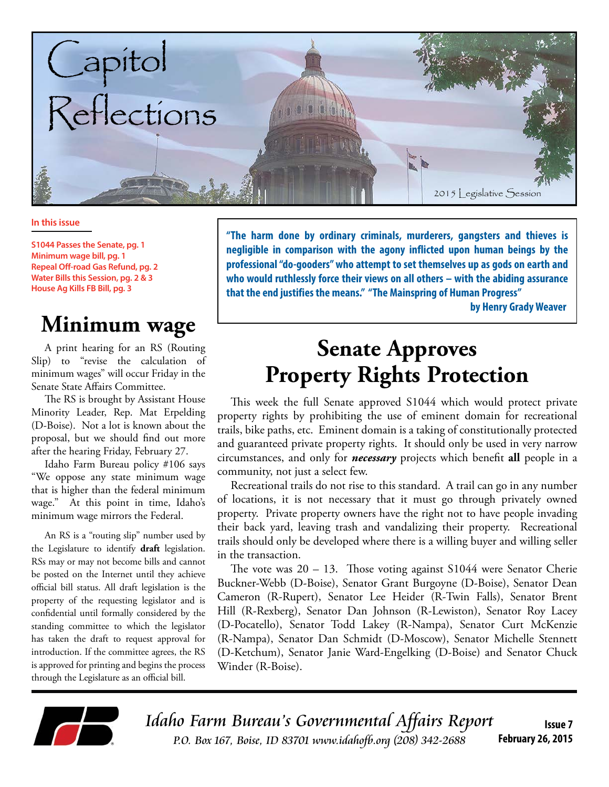

#### **In this issue**

**S1044 Passes the Senate, pg. 1 Minimum wage bill, pg. 1 Repeal Off-road Gas Refund, pg. 2 Water Bills this Session, pg. 2 & 3 House Ag Kills FB Bill, pg. 3**

## **Minimum wage**

A print hearing for an RS (Routing Slip) to "revise the calculation of minimum wages" will occur Friday in the Senate State Affairs Committee.

The RS is brought by Assistant House Minority Leader, Rep. Mat Erpelding (D-Boise). Not a lot is known about the proposal, but we should find out more after the hearing Friday, February 27.

Idaho Farm Bureau policy #106 says "We oppose any state minimum wage that is higher than the federal minimum wage." At this point in time, Idaho's minimum wage mirrors the Federal.

An RS is a "routing slip" number used by the Legislature to identify **draft** legislation. RSs may or may not become bills and cannot be posted on the Internet until they achieve official bill status. All draft legislation is the property of the requesting legislator and is confidential until formally considered by the standing committee to which the legislator has taken the draft to request approval for introduction. If the committee agrees, the RS is approved for printing and begins the process through the Legislature as an official bill.

**"The harm done by ordinary criminals, murderers, gangsters and thieves is negligible in comparison with the agony inflicted upon human beings by the professional "do-gooders" who attempt to set themselves up as gods on earth and who would ruthlessly force their views on all others – with the abiding assurance that the end justifies the means." "The Mainspring of Human Progress" by Henry Grady Weaver**

## **Senate Approves Property Rights Protection**

This week the full Senate approved S1044 which would protect private property rights by prohibiting the use of eminent domain for recreational trails, bike paths, etc. Eminent domain is a taking of constitutionally protected and guaranteed private property rights. It should only be used in very narrow circumstances, and only for *necessary* projects which benefit **all** people in a community, not just a select few.

Recreational trails do not rise to this standard. A trail can go in any number of locations, it is not necessary that it must go through privately owned property. Private property owners have the right not to have people invading their back yard, leaving trash and vandalizing their property. Recreational trails should only be developed where there is a willing buyer and willing seller in the transaction.

The vote was 20 – 13. Those voting against S1044 were Senator Cherie Buckner-Webb (D-Boise), Senator Grant Burgoyne (D-Boise), Senator Dean Cameron (R-Rupert), Senator Lee Heider (R-Twin Falls), Senator Brent Hill (R-Rexberg), Senator Dan Johnson (R-Lewiston), Senator Roy Lacey (D-Pocatello), Senator Todd Lakey (R-Nampa), Senator Curt McKenzie (R-Nampa), Senator Dan Schmidt (D-Moscow), Senator Michelle Stennett (D-Ketchum), Senator Janie Ward-Engelking (D-Boise) and Senator Chuck Winder (R-Boise).



Idaho Farm Bureau's Governmental Affairs Report P.O. Box 167, Boise, ID 83701 www.idahofb.org (208) 342-2688 **Issue 7 February 26, 2015**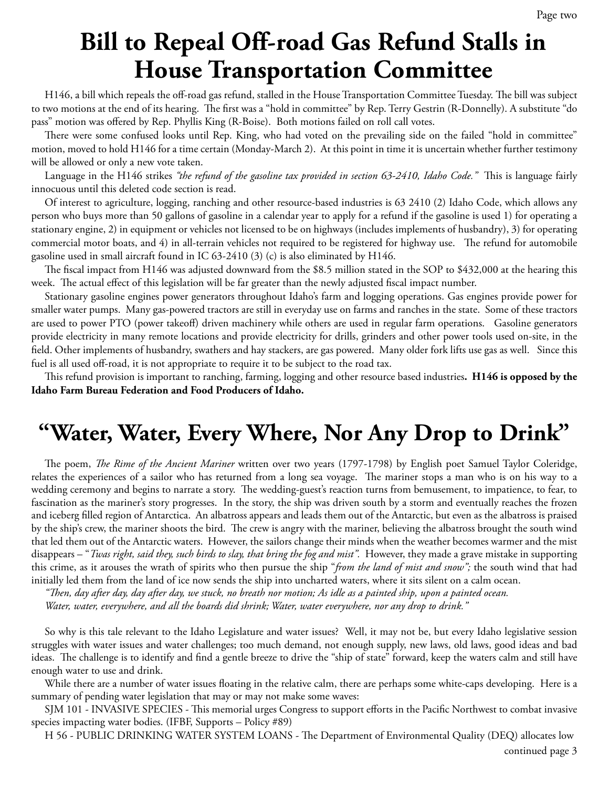# **Bill to Repeal Off-road Gas Refund Stalls in House Transportation Committee**

H146, a bill which repeals the off-road gas refund, stalled in the House Transportation Committee Tuesday. The bill was subject to two motions at the end of its hearing. The first was a "hold in committee" by Rep. Terry Gestrin (R-Donnelly). A substitute "do pass" motion was offered by Rep. Phyllis King (R-Boise). Both motions failed on roll call votes.

There were some confused looks until Rep. King, who had voted on the prevailing side on the failed "hold in committee" motion, moved to hold H146 for a time certain (Monday-March 2). At this point in time it is uncertain whether further testimony will be allowed or only a new vote taken.

Language in the H146 strikes *"the refund of the gasoline tax provided in section 63-2410, Idaho Code."* This is language fairly innocuous until this deleted code section is read.

Of interest to agriculture, logging, ranching and other resource-based industries is 63 2410 (2) Idaho Code, which allows any person who buys more than 50 gallons of gasoline in a calendar year to apply for a refund if the gasoline is used 1) for operating a stationary engine, 2) in equipment or vehicles not licensed to be on highways (includes implements of husbandry), 3) for operating commercial motor boats, and 4) in all-terrain vehicles not required to be registered for highway use. The refund for automobile gasoline used in small aircraft found in IC 63-2410 (3) (c) is also eliminated by H146.

The fiscal impact from H146 was adjusted downward from the \$8.5 million stated in the SOP to \$432,000 at the hearing this week. The actual effect of this legislation will be far greater than the newly adjusted fiscal impact number.

Stationary gasoline engines power generators throughout Idaho's farm and logging operations. Gas engines provide power for smaller water pumps. Many gas-powered tractors are still in everyday use on farms and ranches in the state. Some of these tractors are used to power PTO (power takeoff) driven machinery while others are used in regular farm operations. Gasoline generators provide electricity in many remote locations and provide electricity for drills, grinders and other power tools used on-site, in the field. Other implements of husbandry, swathers and hay stackers, are gas powered. Many older fork lifts use gas as well. Since this fuel is all used off-road, it is not appropriate to require it to be subject to the road tax.

This refund provision is important to ranching, farming, logging and other resource based industries**. H146 is opposed by the Idaho Farm Bureau Federation and Food Producers of Idaho.** 

## **"Water, Water, Every Where, Nor Any Drop to Drink"**

The poem, *The Rime of the Ancient Mariner* written over two years (1797-1798) by English poet Samuel Taylor Coleridge, relates the experiences of a sailor who has returned from a long sea voyage. The mariner stops a man who is on his way to a wedding ceremony and begins to narrate a story. The wedding-guest's reaction turns from bemusement, to impatience, to fear, to fascination as the mariner's story progresses. In the story, the ship was driven south by a storm and eventually reaches the frozen and iceberg filled region of Antarctica. An albatross appears and leads them out of the Antarctic, but even as the albatross is praised by the ship's crew, the mariner shoots the bird. The crew is angry with the mariner, believing the albatross brought the south wind that led them out of the Antarctic waters. However, the sailors change their minds when the weather becomes warmer and the mist disappears – "*Twas right, said they, such birds to slay, that bring the fog and mist".* However, they made a grave mistake in supporting this crime, as it arouses the wrath of spirits who then pursue the ship "*from the land of mist and snow";* the south wind that had initially led them from the land of ice now sends the ship into uncharted waters, where it sits silent on a calm ocean.

*"Then, day after day, day after day, we stuck, no breath nor motion; As idle as a painted ship, upon a painted ocean.*

*Water, water, everywhere, and all the boards did shrink; Water, water everywhere, nor any drop to drink."* 

So why is this tale relevant to the Idaho Legislature and water issues? Well, it may not be, but every Idaho legislative session struggles with water issues and water challenges; too much demand, not enough supply, new laws, old laws, good ideas and bad ideas. The challenge is to identify and find a gentle breeze to drive the "ship of state" forward, keep the waters calm and still have enough water to use and drink.

While there are a number of water issues floating in the relative calm, there are perhaps some white-caps developing. Here is a summary of pending water legislation that may or may not make some waves:

SJM 101 - INVASIVE SPECIES - This memorial urges Congress to support efforts in the Pacific Northwest to combat invasive species impacting water bodies. (IFBF, Supports – Policy #89)

H 56 - PUBLIC DRINKING WATER SYSTEM LOANS - The Department of Environmental Quality (DEQ) allocates low continued page 3